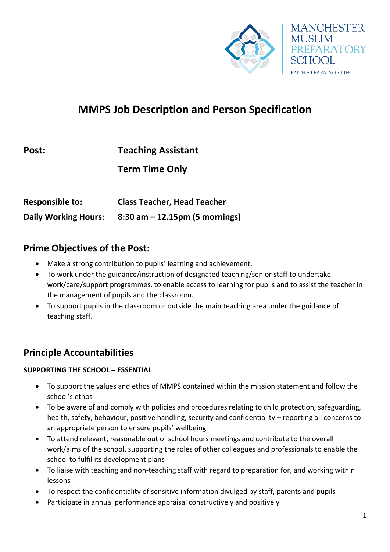

# **MMPS Job Description and Person Specification**

| Post:                  | <b>Teaching Assistant</b>          |
|------------------------|------------------------------------|
|                        | <b>Term Time Only</b>              |
| <b>Responsible to:</b> | <b>Class Teacher, Head Teacher</b> |

**Daily Working Hours: 8:30 am – 12.15pm (5 mornings)** 

### **Prime Objectives of the Post:**

- Make a strong contribution to pupils' learning and achievement.
- To work under the guidance/instruction of designated teaching/senior staff to undertake work/care/support programmes, to enable access to learning for pupils and to assist the teacher in the management of pupils and the classroom.
- To support pupils in the classroom or outside the main teaching area under the guidance of teaching staff.

# **Principle Accountabilities**

#### **SUPPORTING THE SCHOOL – ESSENTIAL**

- To support the values and ethos of MMPS contained within the mission statement and follow the school's ethos
- To be aware of and comply with policies and procedures relating to child protection, safeguarding, health, safety, behaviour, positive handling, security and confidentiality – reporting all concerns to an appropriate person to ensure pupils' wellbeing
- To attend relevant, reasonable out of school hours meetings and contribute to the overall work/aims of the school, supporting the roles of other colleagues and professionals to enable the school to fulfil its development plans
- To liaise with teaching and non-teaching staff with regard to preparation for, and working within lessons
- To respect the confidentiality of sensitive information divulged by staff, parents and pupils
- Participate in annual performance appraisal constructively and positively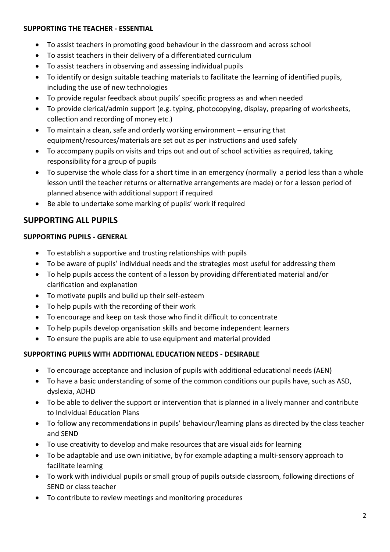#### **SUPPORTING THE TEACHER - ESSENTIAL**

- To assist teachers in promoting good behaviour in the classroom and across school
- To assist teachers in their delivery of a differentiated curriculum
- To assist teachers in observing and assessing individual pupils
- To identify or design suitable teaching materials to facilitate the learning of identified pupils, including the use of new technologies
- To provide regular feedback about pupils' specific progress as and when needed
- To provide clerical/admin support (e.g. typing, photocopying, display, preparing of worksheets, collection and recording of money etc.)
- To maintain a clean, safe and orderly working environment ensuring that equipment/resources/materials are set out as per instructions and used safely
- To accompany pupils on visits and trips out and out of school activities as required, taking responsibility for a group of pupils
- To supervise the whole class for a short time in an emergency (normally a period less than a whole lesson until the teacher returns or alternative arrangements are made) or for a lesson period of planned absence with additional support if required
- Be able to undertake some marking of pupils' work if required

### **SUPPORTING ALL PUPILS**

#### **SUPPORTING PUPILS - GENERAL**

- To establish a supportive and trusting relationships with pupils
- To be aware of pupils' individual needs and the strategies most useful for addressing them
- To help pupils access the content of a lesson by providing differentiated material and/or clarification and explanation
- To motivate pupils and build up their self-esteem
- To help pupils with the recording of their work
- To encourage and keep on task those who find it difficult to concentrate
- To help pupils develop organisation skills and become independent learners
- To ensure the pupils are able to use equipment and material provided

#### **SUPPORTING PUPILS WITH ADDITIONAL EDUCATION NEEDS - DESIRABLE**

- To encourage acceptance and inclusion of pupils with additional educational needs (AEN)
- To have a basic understanding of some of the common conditions our pupils have, such as ASD, dyslexia, ADHD
- To be able to deliver the support or intervention that is planned in a lively manner and contribute to Individual Education Plans
- To follow any recommendations in pupils' behaviour/learning plans as directed by the class teacher and SEND
- To use creativity to develop and make resources that are visual aids for learning
- To be adaptable and use own initiative, by for example adapting a multi-sensory approach to facilitate learning
- To work with individual pupils or small group of pupils outside classroom, following directions of SEND or class teacher
- To contribute to review meetings and monitoring procedures